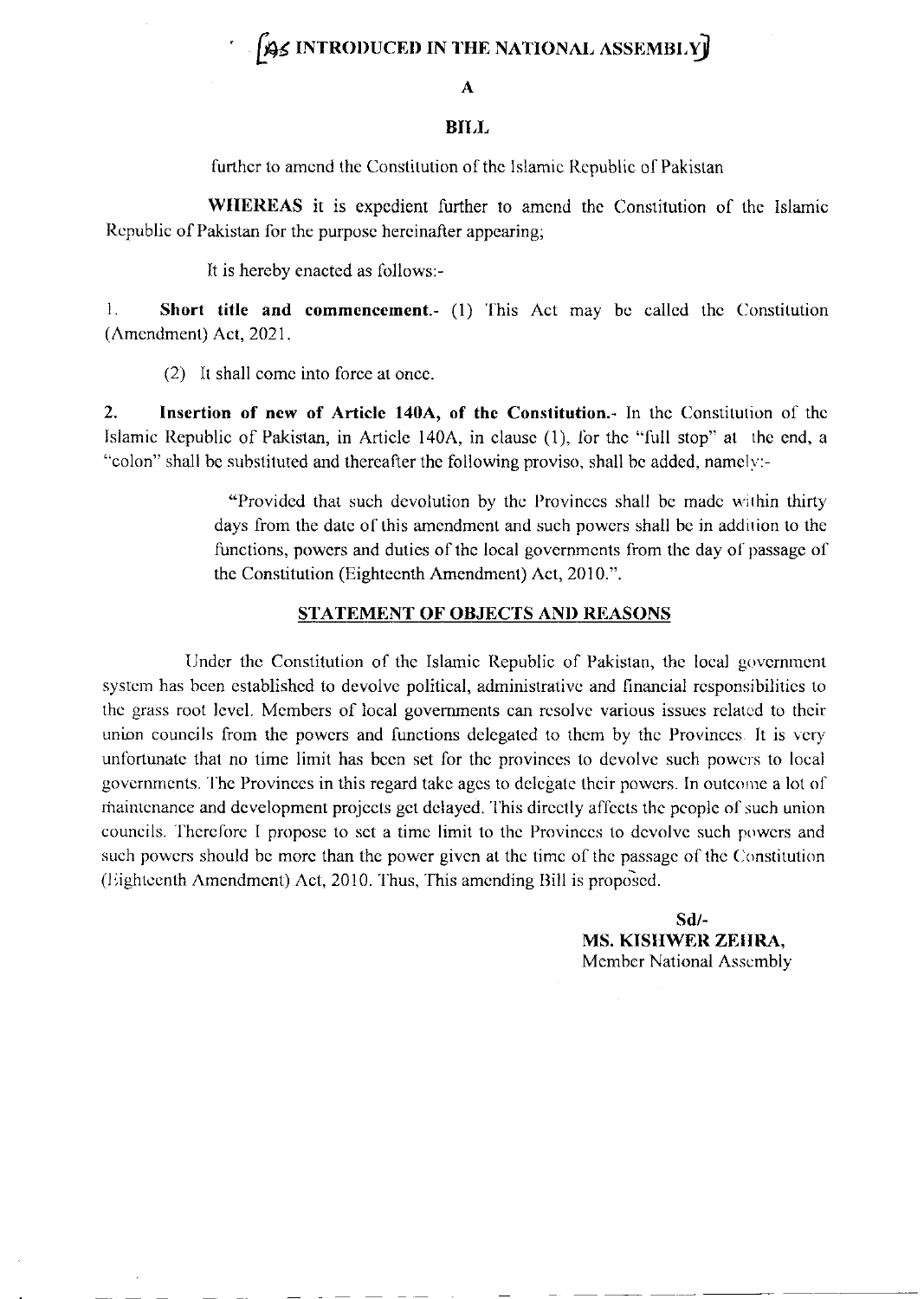## **BE INTRODUCED IN THE NATIONAL ASSEMBLY**

#### A

### **BILL**

further to amend the Constitution of the Islamic Republic of Pakistan

WHEREAS it is expedient further to amend the Constitution of the Islamic Republic of Pakistan for the purpose hereinafter appearing;

It is hereby enacted as follows:-

Short title and commencement. (1) This Act may be called the Constitution  $\mathbf{1}$ . (Amendment) Act, 2021.

(2) It shall come into force at once.

 $2.$ Insertion of new of Article 140A, of the Constitution.- In the Constitution of the Islamic Republic of Pakistan, in Article 140A, in clause (1), for the "full stop" at the end, a "colon" shall be substituted and thereafter the following proviso, shall be added, namely:-

> "Provided that such devolution by the Provinces shall be made within thirty days from the date of this amendment and such powers shall be in addition to the functions, powers and duties of the local governments from the day of passage of the Constitution (Eighteenth Amendment) Act, 2010.".

### STATEMENT OF OBJECTS AND REASONS

Under the Constitution of the Islamic Republic of Pakistan, the local government system has been established to devolve political, administrative and financial responsibilities to the grass root level. Members of local governments can resolve various issues related to their union councils from the powers and functions delegated to them by the Provinces. It is very unfortunate that no time limit has been set for the provinces to devolve such powers to local governments. The Provinces in this regard take ages to delegate their powers. In outcome a lot of maintenance and development projects get delayed. This directly affects the people of such union councils. Therefore I propose to set a time limit to the Provinces to devolve such powers and such powers should be more than the power given at the time of the passage of the Constitution (Eighteenth Amendment) Act, 2010. Thus, This amending Bill is proposed.

> $Sd$ /-MS. KISHWER ZEHRA, Member National Assembly